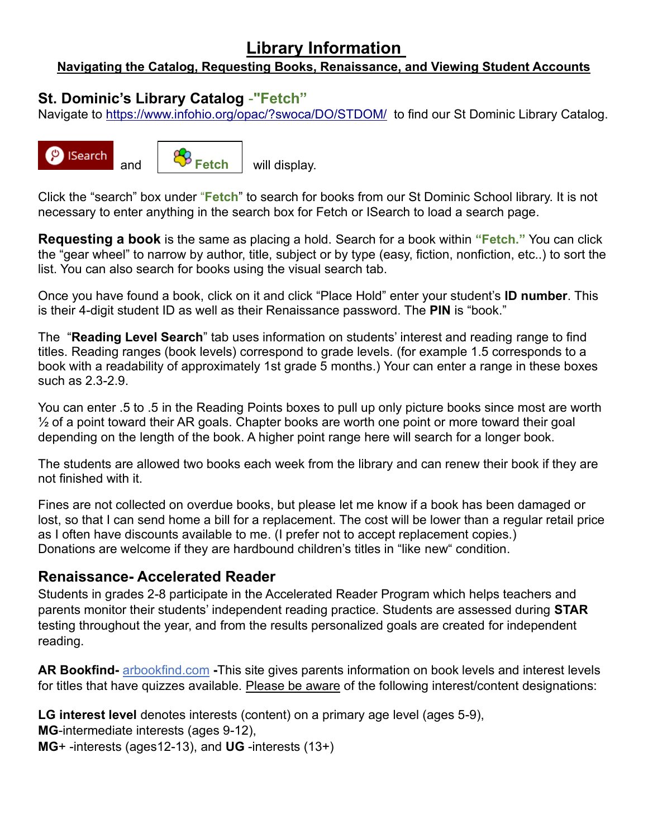# **Library Information**

#### **Navigating the Catalog, Requesting Books, Renaissance, and Viewing Student Accounts**

## **St. Dominic's Library Catalog** -**"Fetch"**

Navigate to [https://www.infohio.org/opac/?swoca/DO/STDOM/](https://www.infohio.org/opac/?swoca/DO/STDOM/%20) to find our St Dominic Library Catalog.





and **W** Fetch will display.

Click the "search" box under "**Fetch**" to search for books from our St Dominic School library. It is not necessary to enter anything in the search box for Fetch or ISearch to load a search page.

**Requesting a book** is the same as placing a hold. Search for a book within **"Fetch."** You can click the "gear wheel" to narrow by author, title, subject or by type (easy, fiction, nonfiction, etc..) to sort the list. You can also search for books using the visual search tab.

Once you have found a book, click on it and click "Place Hold" enter your student's **ID number**. This is their 4-digit student ID as well as their Renaissance password. The **PIN** is "book."

The "**Reading Level Search**" tab uses information on students' interest and reading range to find titles. Reading ranges (book levels) correspond to grade levels. (for example 1.5 corresponds to a book with a readability of approximately 1st grade 5 months.) Your can enter a range in these boxes such as 2.3-2.9.

You can enter .5 to .5 in the Reading Points boxes to pull up only picture books since most are worth  $\frac{1}{2}$  of a point toward their AR goals. Chapter books are worth one point or more toward their goal depending on the length of the book. A higher point range here will search for a longer book.

The students are allowed two books each week from the library and can renew their book if they are not finished with it.

Fines are not collected on overdue books, but please let me know if a book has been damaged or lost, so that I can send home a bill for a replacement. The cost will be lower than a regular retail price as I often have discounts available to me. (I prefer not to accept replacement copies.) Donations are welcome if they are hardbound children's titles in "like new" condition.

#### **Renaissance- Accelerated Reader**

Students in grades 2-8 participate in the Accelerated Reader Program which helps teachers and parents monitor their students' independent reading practice. Students are assessed during **STAR** testing throughout the year, and from the results personalized goals are created for independent reading.

**AR Bookfind-** [arbookfind.com](http://arbookfind.com/) **-**This site gives parents information on book levels and interest levels for titles that have quizzes available. Please be aware of the following interest/content designations:

**LG interest level** denotes interests (content) on a primary age level (ages 5-9),

**MG**-intermediate interests (ages 9-12),

**MG**+ -interests (ages12-13), and **UG** -interests (13+)